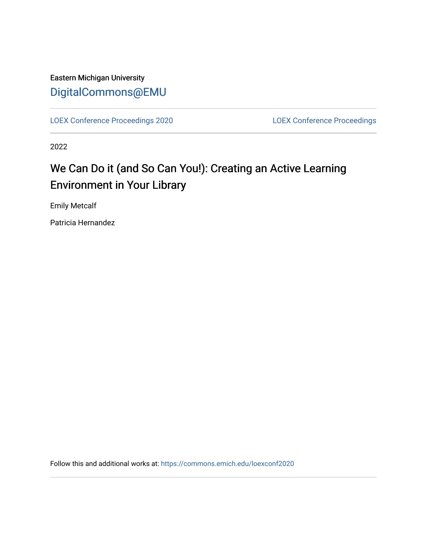### Eastern Michigan University [DigitalCommons@EMU](https://commons.emich.edu/)

[LOEX Conference Proceedings 2020](https://commons.emich.edu/loexconf2020) [LOEX Conference Proceedings](https://commons.emich.edu/loexconf) 

2022

## We Can Do it (and So Can You!): Creating an Active Learning Environment in Your Library

Emily Metcalf

Patricia Hernandez

Follow this and additional works at: [https://commons.emich.edu/loexconf2020](https://commons.emich.edu/loexconf2020?utm_source=commons.emich.edu%2Floexconf2020%2F10&utm_medium=PDF&utm_campaign=PDFCoverPages)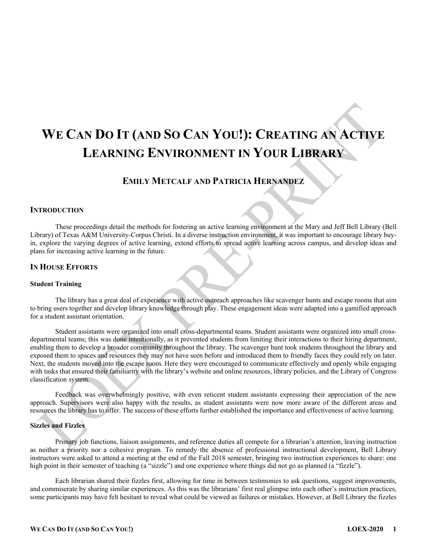# **WE CAN DO IT (AND SO CAN YOU!): CREATING AN ACTIVE LEARNING ENVIRONMENT IN YOUR LIBRARY**

### **EMILY METCALF AND PATRICIA HERNANDEZ**

#### **INTRODUCTION**

These proceedings detail the methods for fostering an active learning environment at the Mary and Jeff Bell Library (Bell Library) of Texas A&M University-Corpus Christi. In a diverse instruction environment, it was important to encourage library buyin, explore the varying degrees of active learning, extend efforts to spread active learning across campus, and develop ideas and plans for increasing active learning in the future.

#### **IN HOUSE EFFORTS**

#### **Student Training**

The library has a great deal of experience with active outreach approaches like scavenger hunts and escape rooms that aim to bring users together and develop library knowledge through play. These engagement ideas were adapted into a gamified approach for a student assistant orientation.

Student assistants were organized into small cross-departmental teams. Student assistants were organized into small crossdepartmental teams; this was done intentionally, as it prevented students from limiting their interactions to their hiring department, enabling them to develop a broader community throughout the library. The scavenger hunt took students throughout the library and exposed them to spaces and resources they may not have seen before and introduced them to friendly faces they could rely on later. Next, the students moved into the escape room. Here they were encouraged to communicate effectively and openly while engaging with tasks that ensured their familiarity with the library's website and online resources, library policies, and the Library of Congress classification system.

Feedback was overwhelmingly positive, with even reticent student assistants expressing their appreciation of the new approach. Supervisors were also happy with the results, as student assistants were now more aware of the different areas and resources the library has to offer. The success of these efforts further established the importance and effectiveness of active learning.

#### **Sizzles and Fizzles**

Primary job functions, liaison assignments, and reference duties all compete for a librarian's attention, leaving instruction as neither a priority nor a cohesive program. To remedy the absence of professional instructional development, Bell Library instructors were asked to attend a meeting at the end of the Fall 2018 semester, bringing two instruction experiences to share: one high point in their semester of teaching (a "sizzle") and one experience where things did not go as planned (a "fizzle").

Each librarian shared their fizzles first, allowing for time in between testimonies to ask questions, suggest improvements, and commiserate by sharing similar experiences. As this was the librarians' first real glimpse into each other's instruction practices, some participants may have felt hesitant to reveal what could be viewed as failures or mistakes. However, at Bell Library the fizzles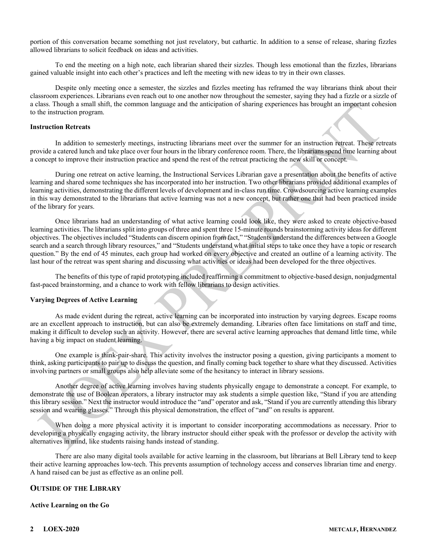portion of this conversation became something not just revelatory, but cathartic. In addition to a sense of release, sharing fizzles allowed librarians to solicit feedback on ideas and activities.

To end the meeting on a high note, each librarian shared their sizzles. Though less emotional than the fizzles, librarians gained valuable insight into each other's practices and left the meeting with new ideas to try in their own classes.

Despite only meeting once a semester, the sizzles and fizzles meeting has reframed the way librarians think about their classroom experiences. Librarians even reach out to one another now throughout the semester, saying they had a fizzle or a sizzle of a class. Though a small shift, the common language and the anticipation of sharing experiences has brought an important cohesion to the instruction program.

#### **Instruction Retreats**

In addition to semesterly meetings, instructing librarians meet over the summer for an instruction retreat. These retreats provide a catered lunch and take place over four hours in the library conference room. There, the librarians spend time learning about a concept to improve their instruction practice and spend the rest of the retreat practicing the new skill or concept.

During one retreat on active learning, the Instructional Services Librarian gave a presentation about the benefits of active learning and shared some techniques she has incorporated into her instruction. Two other librarians provided additional examples of learning activities, demonstrating the different levels of development and in-class run time. Crowdsourcing active learning examples in this way demonstrated to the librarians that active learning was not a new concept, but rather one that had been practiced inside of the library for years.

Once librarians had an understanding of what active learning could look like, they were asked to create objective-based learning activities. The librarians split into groups of three and spent three 15-minute rounds brainstorming activity ideas for different objectives. The objectives included "Students can discern opinion from fact," "Students understand the differences between a Google search and a search through library resources," and "Students understand what initial steps to take once they have a topic or research question." By the end of 45 minutes, each group had worked on every objective and created an outline of a learning activity. The last hour of the retreat was spent sharing and discussing what activities or ideas had been developed for the three objectives.

The benefits of this type of rapid prototyping included reaffirming a commitment to objective-based design, nonjudgmental fast-paced brainstorming, and a chance to work with fellow librarians to design activities.

#### **Varying Degrees of Active Learning**

As made evident during the retreat, active learning can be incorporated into instruction by varying degrees. Escape rooms are an excellent approach to instruction, but can also be extremely demanding. Libraries often face limitations on staff and time, making it difficult to develop such an activity. However, there are several active learning approaches that demand little time, while having a big impact on student learning.

One example is think-pair-share. This activity involves the instructor posing a question, giving participants a moment to think, asking participants to pair up to discuss the question, and finally coming back together to share what they discussed. Activities involving partners or small groups also help alleviate some of the hesitancy to interact in library sessions.

Another degree of active learning involves having students physically engage to demonstrate a concept. For example, to demonstrate the use of Boolean operators, a library instructor may ask students a simple question like, "Stand if you are attending this library session." Next the instructor would introduce the "and" operator and ask, "Stand if you are currently attending this library session and wearing glasses." Through this physical demonstration, the effect of "and" on results is apparent.

When doing a more physical activity it is important to consider incorporating accommodations as necessary. Prior to developing a physically engaging activity, the library instructor should either speak with the professor or develop the activity with alternatives in mind, like students raising hands instead of standing.

There are also many digital tools available for active learning in the classroom, but librarians at Bell Library tend to keep their active learning approaches low-tech. This prevents assumption of technology access and conserves librarian time and energy. A hand raised can be just as effective as an online poll.

#### **OUTSIDE OF THE LIBRARY**

#### **Active Learning on the Go**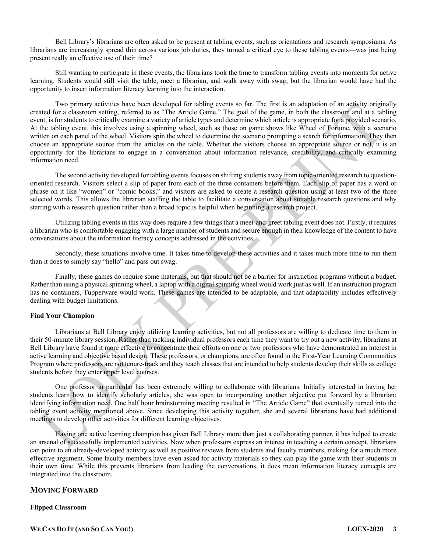Bell Library's librarians are often asked to be present at tabling events, such as orientations and research symposiums. As librarians are increasingly spread thin across various job duties, they turned a critical eye to these tabling events—was just being present really an effective use of their time?

Still wanting to participate in these events, the librarians took the time to transform tabling events into moments for active learning. Students would still visit the table, meet a librarian, and walk away with swag, but the librarian would have had the opportunity to insert information literacy learning into the interaction.

Two primary activities have been developed for tabling events so far. The first is an adaptation of an activity originally created for a classroom setting, referred to as "The Article Game." The goal of the game, in both the classroom and at a tabling event, is for students to critically examine a variety of article types and determine which article is appropriate for a provided scenario. At the tabling event, this involves using a spinning wheel, such as those on game shows like Wheel of Fortune, with a scenario written on each panel of the wheel. Visitors spin the wheel to determine the scenario prompting a search for information. They then choose an appropriate source from the articles on the table. Whether the visitors choose an appropriate source or not, it is an opportunity for the librarians to engage in a conversation about information relevance, credibility, and critically examining information need.

The second activity developed for tabling events focuses on shifting students away from topic-oriented research to questionoriented research. Visitors select a slip of paper from each of the three containers before them. Each slip of paper has a word or phrase on it like "women" or "comic books," and visitors are asked to create a research question using at least two of the three selected words. This allows the librarian staffing the table to facilitate a conversation about suitable research questions and why starting with a research question rather than a broad topic is helpful when beginning a research project.

Utilizing tabling events in this way does require a few things that a meet-and-greet tabling event does not. Firstly, it requires a librarian who is comfortable engaging with a large number of students and secure enough in their knowledge of the content to have conversations about the information literacy concepts addressed in the activities.

Secondly, these situations involve time. It takes time to develop these activities and it takes much more time to run them than it does to simply say "hello" and pass out swag.

Finally, these games do require some materials, but that should not be a barrier for instruction programs without a budget. Rather than using a physical spinning wheel, a laptop with a digital spinning wheel would work just as well. If an instruction program has no containers, Tupperware would work. These games are intended to be adaptable, and that adaptability includes effectively dealing with budget limitations.

#### **Find Your Champion**

Librarians at Bell Library enjoy utilizing learning activities, but not all professors are willing to dedicate time to them in their 50-minute library session. Rather than tackling individual professors each time they want to try out a new activity, librarians at Bell Library have found it more effective to concentrate their efforts on one or two professors who have demonstrated an interest in active learning and objective based design. These professors, or champions, are often found in the First-Year Learning Communities Program where professors are not tenure-track and they teach classes that are intended to help students develop their skills as college students before they enter upper level courses.

One professor in particular has been extremely willing to collaborate with librarians. Initially interested in having her students learn how to identify scholarly articles, she was open to incorporating another objective put forward by a librarian: identifying information need. One half hour brainstorming meeting resulted in "The Article Game" that eventually turned into the tabling event activity mentioned above. Since developing this activity together, she and several librarians have had additional meetings to develop other activities for different learning objectives.

Having one active learning champion has given Bell Library more than just a collaborating partner, it has helped to create an arsenal of successfully implemented activities. Now when professors express an interest in teaching a certain concept, librarians can point to an already-developed activity as well as positive reviews from students and faculty members, making for a much more effective argument. Some faculty members have even asked for activity materials so they can play the game with their students in their own time. While this prevents librarians from leading the conversations, it does mean information literacy concepts are integrated into the classroom.

#### **MOVING FORWARD**

#### **Flipped Classroom**